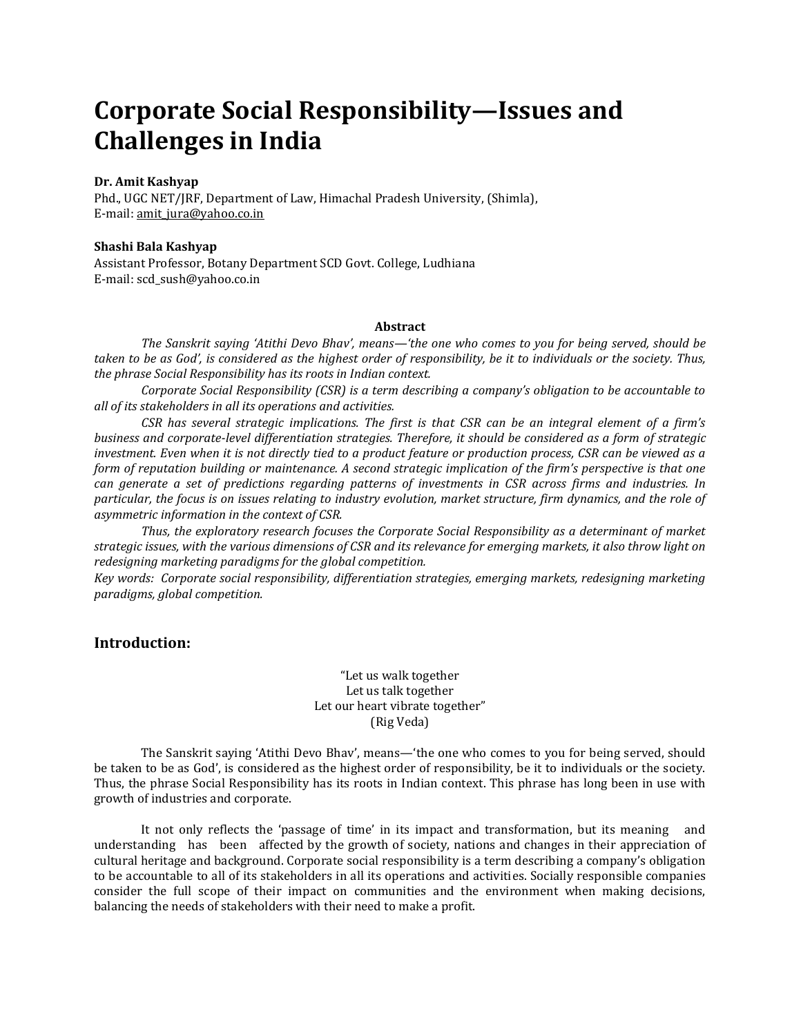# **Corporate Social Responsibility—Issues and Challenges in India**

#### **Dr. Amit Kashyap**

Phd., UGC NET/JRF, Department of Law, Himachal Pradesh University, (Shimla), E-mail[: amit\\_jura@yahoo.co.in](mailto:amit_jura@yahoo.co.in)

#### **Shashi Bala Kashyap**

Assistant Professor, Botany Department SCD Govt. College, Ludhiana E-mail: scd\_sush@yahoo.co.in

#### **Abstract**

*The Sanskrit saying 'Atithi Devo Bhav', means—'the one who comes to you for being served, should be taken to be as God', is considered as the highest order of responsibility, be it to individuals or the society. Thus, the phrase Social Responsibility has its roots in Indian context.*

*Corporate Social Responsibility (CSR) is a term describing a company's obligation to be accountable to all of its stakeholders in all its operations and activities.*

*CSR has several strategic implications. The first is that CSR can be an integral element of a firm's business and corporate-level differentiation strategies. Therefore, it should be considered as a form of strategic investment. Even when it is not directly tied to a product feature or production process, CSR can be viewed as a form of reputation building or maintenance. A second strategic implication of the firm's perspective is that one can generate a set of predictions regarding patterns of investments in CSR across firms and industries. In particular, the focus is on issues relating to industry evolution, market structure, firm dynamics, and the role of asymmetric information in the context of CSR.*

*Thus, the exploratory research focuses the Corporate Social Responsibility as a determinant of market strategic issues, with the various dimensions of CSR and its relevance for emerging markets, it also throw light on redesigning marketing paradigms for the global competition.*

*Key words: Corporate social responsibility, differentiation strategies, emerging markets, redesigning marketing paradigms, global competition.*

# **Introduction:**

"Let us walk together Let us talk together Let our heart vibrate together" (Rig Veda)

The Sanskrit saying 'Atithi Devo Bhav', means—'the one who comes to you for being served, should be taken to be as God', is considered as the highest order of responsibility, be it to individuals or the society. Thus, the phrase Social Responsibility has its roots in Indian context. This phrase has long been in use with growth of industries and corporate.

It not only reflects the 'passage of time' in its impact and transformation, but its meaning and understanding has been affected by the growth of society, nations and changes in their appreciation of cultural heritage and background. Corporate social responsibility is a term describing a company's obligation to be accountable to all of its stakeholders in all its operations and activities. Socially responsible companies consider the full scope of their impact on communities and the environment when making decisions, balancing the needs of stakeholders with their need to make a profit.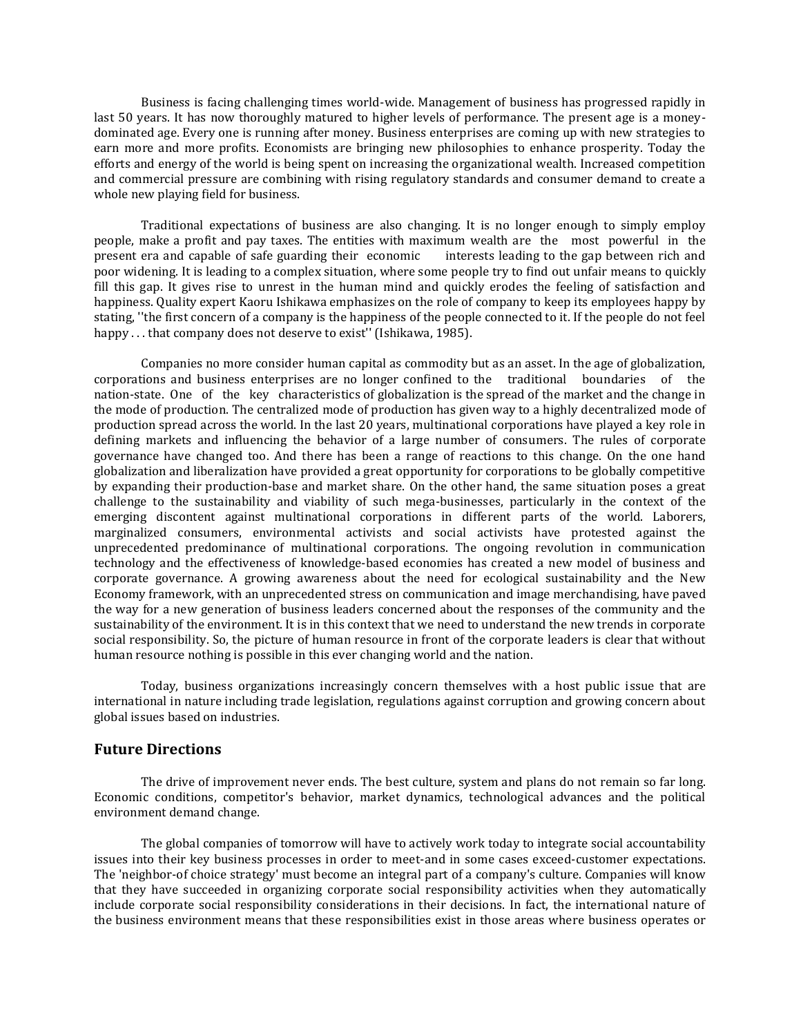Business is facing challenging times world-wide. Management of business has progressed rapidly in last 50 years. It has now thoroughly matured to higher levels of performance. The present age is a moneydominated age. Every one is running after money. Business enterprises are coming up with new strategies to earn more and more profits. Economists are bringing new philosophies to enhance prosperity. Today the efforts and energy of the world is being spent on increasing the organizational wealth. Increased competition and commercial pressure are combining with rising regulatory standards and consumer demand to create a whole new playing field for business.

Traditional expectations of business are also changing. It is no longer enough to simply employ people, make a profit and pay taxes. The entities with maximum wealth are the most powerful in the present era and capable of safe guarding their economic interests leading to the gap between rich and poor widening. It is leading to a complex situation, where some people try to find out unfair means to quickly fill this gap. It gives rise to unrest in the human mind and quickly erodes the feeling of satisfaction and happiness. Quality expert Kaoru Ishikawa emphasizes on the role of company to keep its employees happy by stating, ''the first concern of a company is the happiness of the people connected to it. If the people do not feel happy . . . that company does not deserve to exist" (Ishikawa, 1985).

Companies no more consider human capital as commodity but as an asset. In the age of globalization, corporations and business enterprises are no longer confined to the traditional boundaries of the nation-state. One of the key characteristics of globalization is the spread of the market and the change in the mode of production. The centralized mode of production has given way to a highly decentralized mode of production spread across the world. In the last 20 years, multinational corporations have played a key role in defining markets and influencing the behavior of a large number of consumers. The rules of corporate governance have changed too. And there has been a range of reactions to this change. On the one hand globalization and liberalization have provided a great opportunity for corporations to be globally competitive by expanding their production-base and market share. On the other hand, the same situation poses a great challenge to the sustainability and viability of such mega-businesses, particularly in the context of the emerging discontent against multinational corporations in different parts of the world. Laborers, marginalized consumers, environmental activists and social activists have protested against the unprecedented predominance of multinational corporations. The ongoing revolution in communication technology and the effectiveness of knowledge-based economies has created a new model of business and corporate governance. A growing awareness about the need for ecological sustainability and the New Economy framework, with an unprecedented stress on communication and image merchandising, have paved the way for a new generation of business leaders concerned about the responses of the community and the sustainability of the environment. It is in this context that we need to understand the new trends in corporate social responsibility. So, the picture of human resource in front of the corporate leaders is clear that without human resource nothing is possible in this ever changing world and the nation.

Today, business organizations increasingly concern themselves with a host public issue that are international in nature including trade legislation, regulations against corruption and growing concern about global issues based on industries.

#### **Future Directions**

The drive of improvement never ends. The best culture, system and plans do not remain so far long. Economic conditions, competitor's behavior, market dynamics, technological advances and the political environment demand change.

The global companies of tomorrow will have to actively work today to integrate social accountability issues into their key business processes in order to meet-and in some cases exceed-customer expectations. The 'neighbor-of choice strategy' must become an integral part of a company's culture. Companies will know that they have succeeded in organizing corporate social responsibility activities when they automatically include corporate social responsibility considerations in their decisions. In fact, the international nature of the business environment means that these responsibilities exist in those areas where business operates or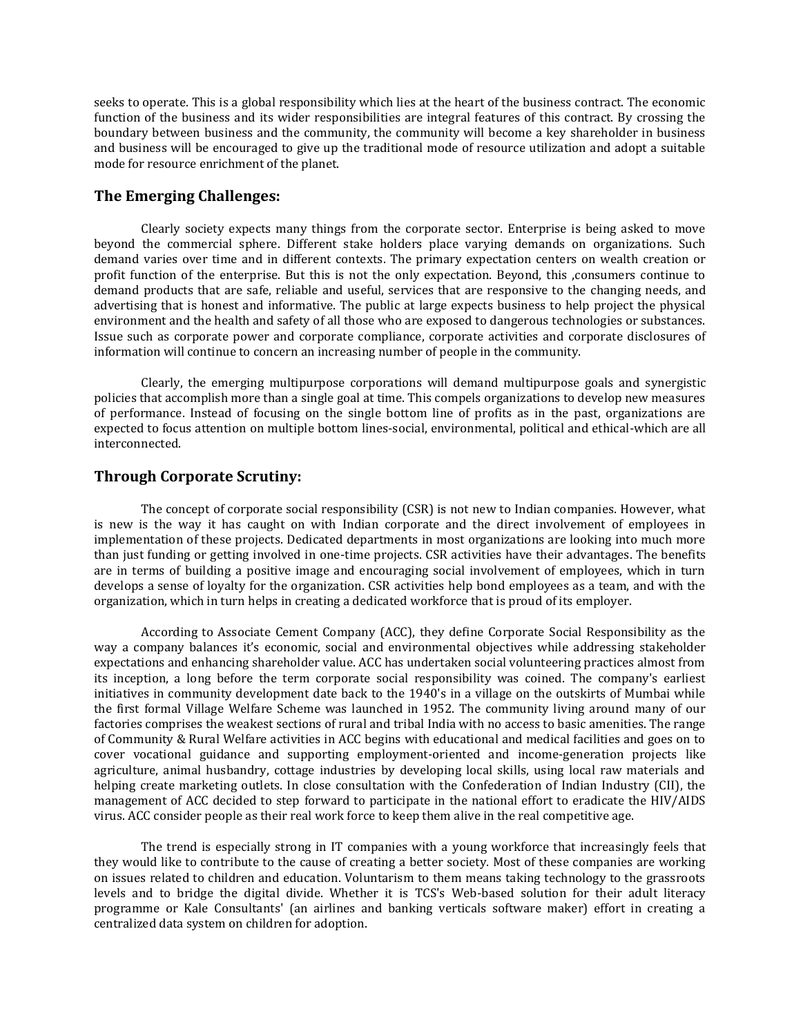seeks to operate. This is a global responsibility which lies at the heart of the business contract. The economic function of the business and its wider responsibilities are integral features of this contract. By crossing the boundary between business and the community, the community will become a key shareholder in business and business will be encouraged to give up the traditional mode of resource utilization and adopt a suitable mode for resource enrichment of the planet.

### **The Emerging Challenges:**

Clearly society expects many things from the corporate sector. Enterprise is being asked to move beyond the commercial sphere. Different stake holders place varying demands on organizations. Such demand varies over time and in different contexts. The primary expectation centers on wealth creation or profit function of the enterprise. But this is not the only expectation. Beyond, this ,consumers continue to demand products that are safe, reliable and useful, services that are responsive to the changing needs, and advertising that is honest and informative. The public at large expects business to help project the physical environment and the health and safety of all those who are exposed to dangerous technologies or substances. Issue such as corporate power and corporate compliance, corporate activities and corporate disclosures of information will continue to concern an increasing number of people in the community.

Clearly, the emerging multipurpose corporations will demand multipurpose goals and synergistic policies that accomplish more than a single goal at time. This compels organizations to develop new measures of performance. Instead of focusing on the single bottom line of profits as in the past, organizations are expected to focus attention on multiple bottom lines-social, environmental, political and ethical-which are all interconnected.

#### **Through Corporate Scrutiny:**

The concept of corporate social responsibility (CSR) is not new to Indian companies. However, what is new is the way it has caught on with Indian corporate and the direct involvement of employees in implementation of these projects. Dedicated departments in most organizations are looking into much more than just funding or getting involved in one-time projects. CSR activities have their advantages. The benefits are in terms of building a positive image and encouraging social involvement of employees, which in turn develops a sense of loyalty for the organization. CSR activities help bond employees as a team, and with the organization, which in turn helps in creating a dedicated workforce that is proud of its employer.

According to Associate Cement Company (ACC), they define Corporate Social Responsibility as the way a company balances it's economic, social and environmental objectives while addressing stakeholder expectations and enhancing shareholder value. ACC has undertaken social volunteering practices almost from its inception, a long before the term corporate social responsibility was coined. The company's earliest initiatives in community development date back to the 1940's in a village on the outskirts of Mumbai while the first formal Village Welfare Scheme was launched in 1952. The community living around many of our factories comprises the weakest sections of rural and tribal India with no access to basic amenities. The range of Community & Rural Welfare activities in ACC begins with educational and medical facilities and goes on to cover vocational guidance and supporting employment-oriented and income-generation projects like agriculture, animal husbandry, cottage industries by developing local skills, using local raw materials and helping create marketing outlets. In close consultation with the Confederation of Indian Industry (CII), the management of ACC decided to step forward to participate in the national effort to eradicate the HIV/AIDS virus. ACC consider people as their real work force to keep them alive in the real competitive age.

The trend is especially strong in IT companies with a young workforce that increasingly feels that they would like to contribute to the cause of creating a better society. Most of these companies are working on issues related to children and education. Voluntarism to them means taking technology to the grassroots levels and to bridge the digital divide. Whether it is TCS's Web-based solution for their adult literacy programme or Kale Consultants' (an airlines and banking verticals software maker) effort in creating a centralized data system on children for adoption.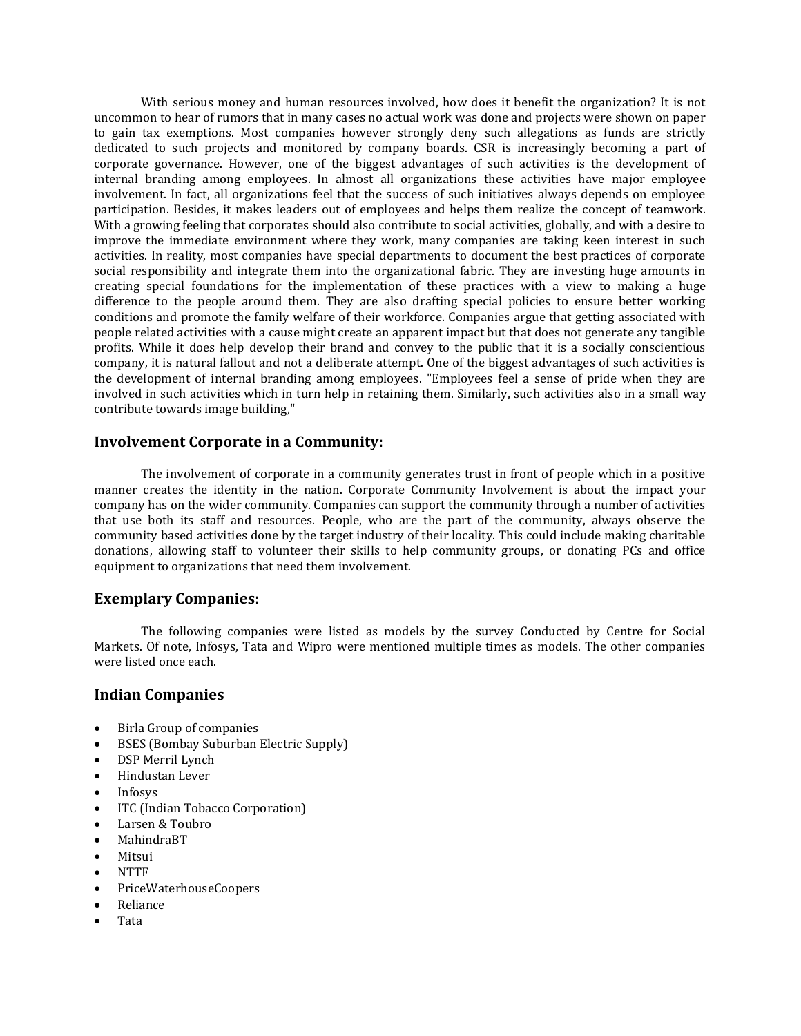With serious money and human resources involved, how does it benefit the organization? It is not uncommon to hear of rumors that in many cases no actual work was done and projects were shown on paper to gain tax exemptions. Most companies however strongly deny such allegations as funds are strictly dedicated to such projects and monitored by company boards. CSR is increasingly becoming a part of corporate governance. However, one of the biggest advantages of such activities is the development of internal branding among employees. In almost all organizations these activities have major employee involvement. In fact, all organizations feel that the success of such initiatives always depends on employee participation. Besides, it makes leaders out of employees and helps them realize the concept of teamwork. With a growing feeling that corporates should also contribute to social activities, globally, and with a desire to improve the immediate environment where they work, many companies are taking keen interest in such activities. In reality, most companies have special departments to document the best practices of corporate social responsibility and integrate them into the organizational fabric. They are investing huge amounts in creating special foundations for the implementation of these practices with a view to making a huge difference to the people around them. They are also drafting special policies to ensure better working conditions and promote the family welfare of their workforce. Companies argue that getting associated with people related activities with a cause might create an apparent impact but that does not generate any tangible profits. While it does help develop their brand and convey to the public that it is a socially conscientious company, it is natural fallout and not a deliberate attempt. One of the biggest advantages of such activities is the development of internal branding among employees. "Employees feel a sense of pride when they are involved in such activities which in turn help in retaining them. Similarly, such activities also in a small way contribute towards image building,"

## **Involvement Corporate in a Community:**

The involvement of corporate in a community generates trust in front of people which in a positive manner creates the identity in the nation. Corporate Community Involvement is about the impact your company has on the wider community. Companies can support the community through a number of activities that use both its staff and resources. People, who are the part of the community, always observe the community based activities done by the target industry of their locality. This could include making charitable donations, allowing staff to volunteer their skills to help community groups, or donating PCs and office equipment to organizations that need them involvement.

## **Exemplary Companies:**

The following companies were listed as models by the survey Conducted by Centre for Social Markets. Of note, Infosys, Tata and Wipro were mentioned multiple times as models. The other companies were listed once each.

## **Indian Companies**

- Birla Group of companies
- BSES (Bombay Suburban Electric Supply)
- DSP Merril Lynch
- **•** Hindustan Lever
- Infosys
- ITC (Indian Tobacco Corporation)
- Larsen & Toubro
- MahindraBT
- Mitsui
- NTTF
- PriceWaterhouseCoopers
- Reliance
- Tata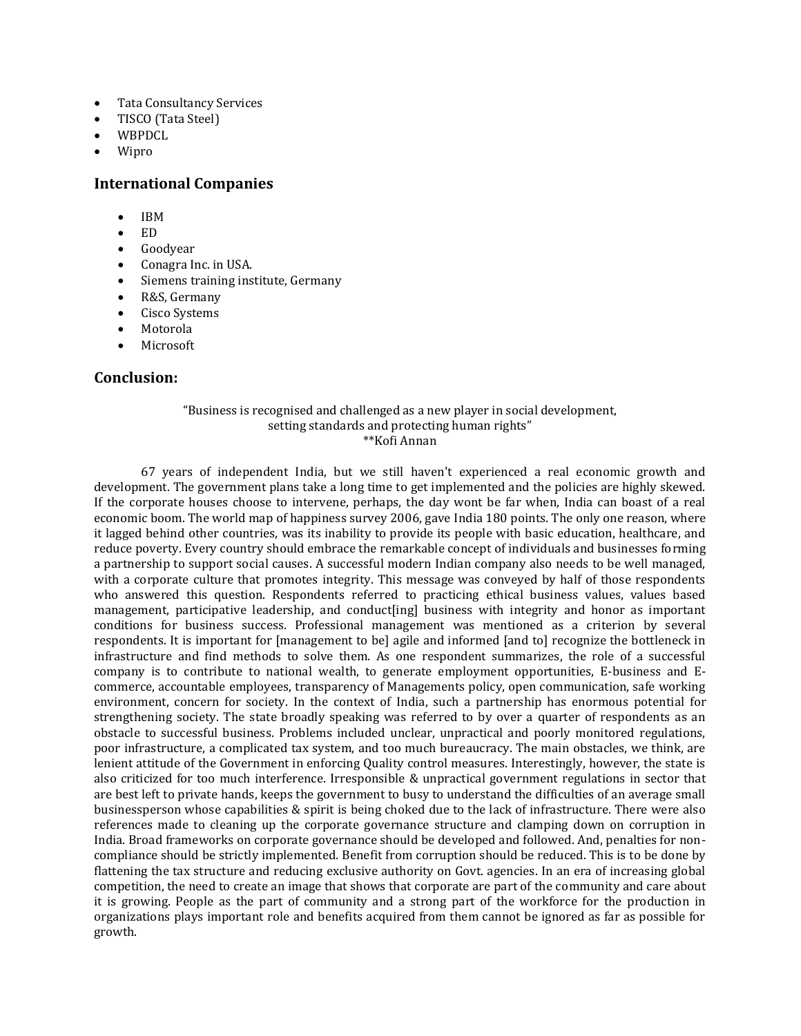- Tata Consultancy Services
- TISCO (Tata Steel)
- WBPDCL
- Wipro

# **International Companies**

- $\bullet$  IBM
- ED
- Goodyear
- Conagra Inc. in USA.
- Siemens training institute, Germany
- R&S, Germany
- Cisco Systems
- Motorola
- Microsoft

# **Conclusion:**

#### "Business is recognised and challenged as a new player in social development, setting standards and protecting human rights" \*\*Kofi Annan

67 years of independent India, but we still haven't experienced a real economic growth and development. The government plans take a long time to get implemented and the policies are highly skewed. If the corporate houses choose to intervene, perhaps, the day wont be far when, India can boast of a real economic boom. The world map of happiness survey 2006, gave India 180 points. The only one reason, where it lagged behind other countries, was its inability to provide its people with basic education, healthcare, and reduce poverty. Every country should embrace the remarkable concept of individuals and businesses forming a partnership to support social causes. A successful modern Indian company also needs to be well managed, with a corporate culture that promotes integrity. This message was conveyed by half of those respondents who answered this question. Respondents referred to practicing ethical business values, values based management, participative leadership, and conduct[ing] business with integrity and honor as important conditions for business success. Professional management was mentioned as a criterion by several respondents. It is important for [management to be] agile and informed [and to] recognize the bottleneck in infrastructure and find methods to solve them. As one respondent summarizes, the role of a successful company is to contribute to national wealth, to generate employment opportunities, E-business and Ecommerce, accountable employees, transparency of Managements policy, open communication, safe working environment, concern for society. In the context of India, such a partnership has enormous potential for strengthening society. The state broadly speaking was referred to by over a quarter of respondents as an obstacle to successful business. Problems included unclear, unpractical and poorly monitored regulations, poor infrastructure, a complicated tax system, and too much bureaucracy. The main obstacles, we think, are lenient attitude of the Government in enforcing Quality control measures. Interestingly, however, the state is also criticized for too much interference. Irresponsible & unpractical government regulations in sector that are best left to private hands, keeps the government to busy to understand the difficulties of an average small businessperson whose capabilities & spirit is being choked due to the lack of infrastructure. There were also references made to cleaning up the corporate governance structure and clamping down on corruption in India. Broad frameworks on corporate governance should be developed and followed. And, penalties for noncompliance should be strictly implemented. Benefit from corruption should be reduced. This is to be done by flattening the tax structure and reducing exclusive authority on Govt. agencies. In an era of increasing global competition, the need to create an image that shows that corporate are part of the community and care about it is growing. People as the part of community and a strong part of the workforce for the production in organizations plays important role and benefits acquired from them cannot be ignored as far as possible for growth.